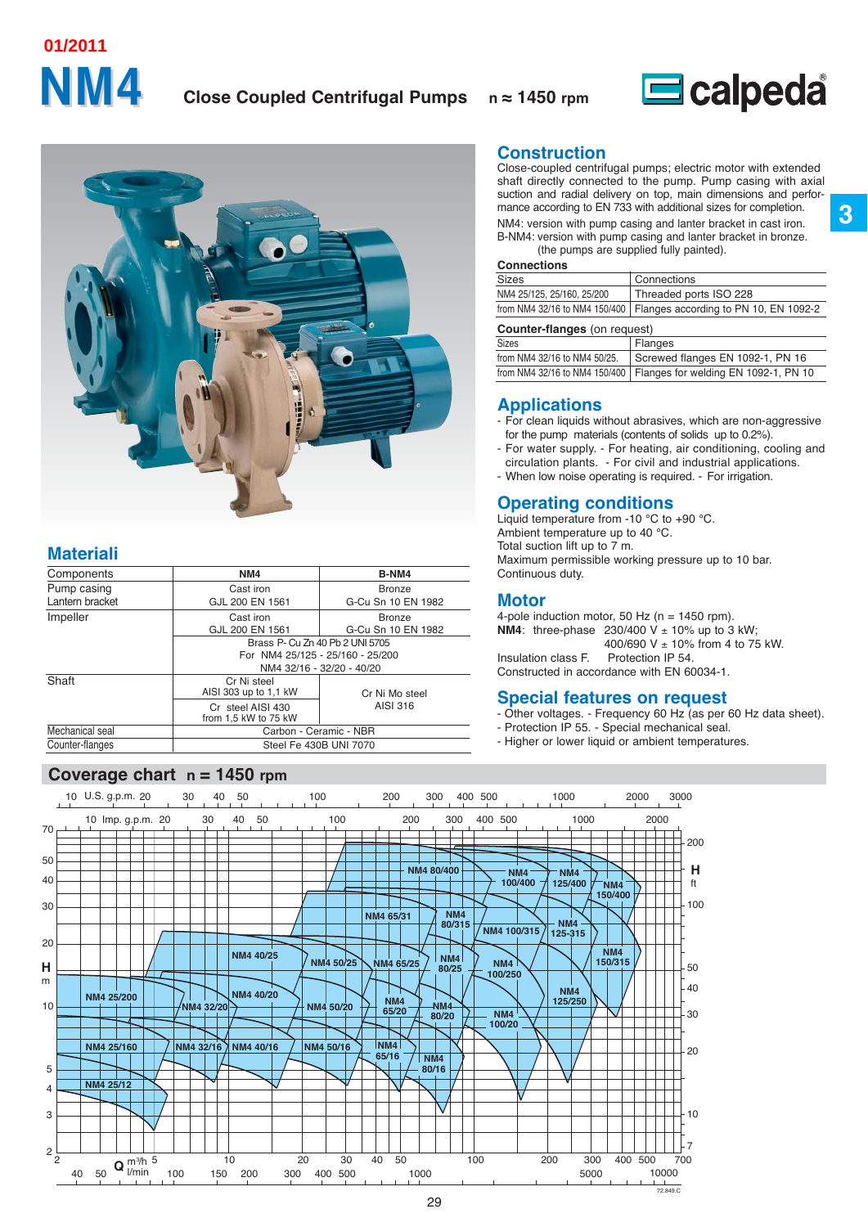# **NM4 01/2011**

## **Close Coupled Centrifugal Pumps n ≈ 1450 rpm**



**3**



## **Materiali**

| Components      | NM4                                       | B-NM4                            |
|-----------------|-------------------------------------------|----------------------------------|
| Pump casing     | Cast iron                                 | <b>Bronze</b>                    |
| Lantern bracket | GJL 200 EN 1561                           | G-Cu Sn 10 EN 1982               |
| Impeller        | Cast iron                                 | <b>Bronze</b>                    |
|                 | GJL 200 EN 1561                           | G-Cu Sn 10 EN 1982               |
|                 |                                           | Brass P- Cu Zn 40 Pb 2 UNI 5705  |
|                 |                                           | For NM4 25/125 - 25/160 - 25/200 |
|                 |                                           | NM4 32/16 - 32/20 - 40/20        |
| Shaft           | Cr Ni steel<br>AISI 303 up to 1.1 kW      | Cr Ni Mo steel                   |
|                 | Cr steel AISI 430<br>from 1.5 kW to 75 kW | AISI 316                         |
| Mechanical seal |                                           | Carbon - Ceramic - NBR           |
| Counter-flanges |                                           | Steel Fe 430B UNI 7070           |

## **Coverage chart n = 1450 rpm**

**Construction**

Close-coupled centrifugal pumps; electric motor with extended shaft directly connected to the pump. Pump casing with axial suction and radial delivery on top, main dimensions and performance according to EN 733 with additional sizes for completion. NM4: version with pump casing and lanter bracket in cast iron. B-NM4: version with pump casing and lanter bracket in bronze. (the pumps are supplied fully painted).

#### **Connections**

| Sizes                      | Connections                                                           |
|----------------------------|-----------------------------------------------------------------------|
| NM4 25/125, 25/160, 25/200 | Threaded ports ISO 228                                                |
|                            | from NM4 32/16 to NM4 150/400   Flanges according to PN 10, EN 1092-2 |
|                            |                                                                       |

| <b>Counter-flanges</b> (on request) |                                                                      |
|-------------------------------------|----------------------------------------------------------------------|
| <b>Sizes</b>                        | Flanges                                                              |
| from NM4 32/16 to NM4 50/25.        | Screwed flanges EN 1092-1, PN 16                                     |
|                                     | from NM4 32/16 to NM4 150/400   Flanges for welding EN 1092-1, PN 10 |

## **Applications**

- For clean liquids without abrasives, which are non-aggressive for the pump materials (contents of solids up to 0.2%).
- For water supply. For heating, air conditioning, cooling and circulation plants. - For civil and industrial applications.
- When low noise operating is required. For irrigation.

## **Operating conditions**

Liquid temperature from -10 °C to +90 °C. Ambient temperature up to 40 °C. Total suction lift up to 7 m. Maximum permissible working pressure up to 10 bar. Continuous duty.

## **Motor**

4-pole induction motor, 50 Hz ( $n = 1450$  rpm). **NM4**: three-phase  $230/400$  V  $\pm$  10% up to 3 kW; 400/690 V  $\pm$  10% from 4 to 75 kW. Insulation class F. Protection IP 54. Constructed in accordance with EN 60034-1.

**Special features on request**

- Other voltages. Frequency 60 Hz (as per 60 Hz data sheet).
- Protection IP 55. Special mechanical seal.
- Higher or lower liquid or ambient temperatures.

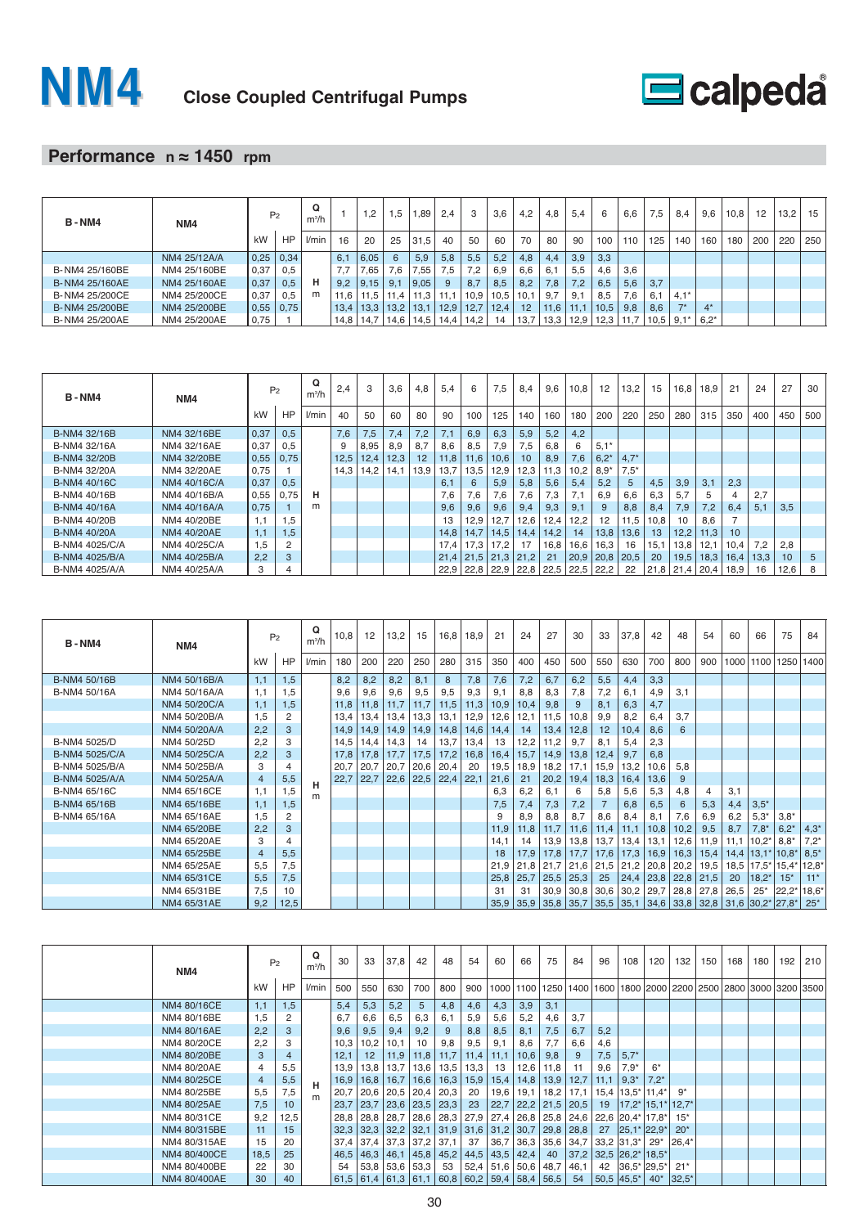



## **Performance n ≈ 1450 rpm**

| <b>B-NM4</b>   | NM4          |      | P <sub>2</sub> | Q<br>$m^3/h$ |      | 1,2           | .5              | ,89                  | 2.4          | 3    | 3,6  | 4,2  | 4,8  | 5.4  | -6   | 6.6  | 7,5  | 8.4            | 9,6    | 10,8 | 12  | 13,2 | 15  |
|----------------|--------------|------|----------------|--------------|------|---------------|-----------------|----------------------|--------------|------|------|------|------|------|------|------|------|----------------|--------|------|-----|------|-----|
|                |              | kW   | HP             | l/min        | 16   | 20            | 25              | 31.5                 | 40           | 50   | 60   | 70   | 80   | 90   | 100  | 110  | 125  | 140            | 160    | 180  | 200 | 220  | 250 |
|                | NM4 25/12A/A | 0,25 | 0,34           |              | 6.1  | 6.05          | $6\overline{6}$ | 5,9                  | 5,8          | 5,5  | 5,2  | 4,8  | 4.4  | 3,9  | 3,3  |      |      |                |        |      |     |      |     |
| B-NM4 25/160BE | NM4 25/160BE | 0,37 | 0,5            |              | 7.7  | .65           | 7.6             | 7,55                 | 7.5          | 7,2  | 6,9  | 6,6  | 6,1  | 5.5  | 4.6  | 3,6  |      |                |        |      |     |      |     |
| B-NM4 25/160AE | NM4 25/160AE | 0,37 | 0,5            | н            | 9.2  | 9.15          | 9.3             | 9,05                 |              | 8,7  | 8,5  | 8.2  | 7.8  | 7.2  | 6.5  | 5,6  | 3.7  |                |        |      |     |      |     |
| B-NM4 25/200CE | NM4 25/200CE | 0,37 | 0,5            | m            | 11.6 | 11,5          | 11.4            | 11,3                 |              | 10,9 | 10,5 | 10,1 | 9.7  | 9.1  | 8.5  | 7.6  | 6.1  | $4.1*$         |        |      |     |      |     |
| B-NM4 25/200BE | NM4 25/200BE | 0,55 | 0,75           |              | 13.4 | 13.3          | 13.2            | 13.1                 | $\vert$ 12.9 | 12.7 | 12.4 | 12   | 11.6 | 11.1 | 10.5 | 9.8  | 8.6  | $\overline{ }$ | $4^*$  |      |     |      |     |
| B-NM4 25/200AE | NM4 25/200AE | 0,75 |                |              |      | $14,8$   14,7 |                 | $14,6$   14,5   14,4 |              | 14.2 | 14   | 13.7 | 13.3 | 12.9 | 12.3 | 11.7 | 10.5 | $9.1*$         | $6.2*$ |      |     |      |     |

| <b>B-NM4</b>   | NM4          |      | P <sub>2</sub> | Q<br>$m^3/h$ | 2.4  | 3    | 3,6  | 4,8  | 5,4  | 6                             | 7,5  | 8,4             | 9,6  | 10,8 | 12     | 13,2   | 15   | 16,8 | 18.9 | 21   | 24   | 27              | 30  |
|----------------|--------------|------|----------------|--------------|------|------|------|------|------|-------------------------------|------|-----------------|------|------|--------|--------|------|------|------|------|------|-----------------|-----|
|                |              | kW   | HP             | l/min        | 40   | 50   | 60   | 80   | 90   | 100                           | 125  | 140             | 160  | 180  | 200    | 220    | 250  | 280  | 315  | 350  | 400  | 450             | 500 |
| B-NM4 32/16B   | NM4 32/16BE  | 0,37 | 0,5            |              | 7.6  | 7,5  | 7.4  | 7,2  | 7.1  | 6,9                           | 6,3  | 5,9             | 5,2  | 4.2  |        |        |      |      |      |      |      |                 |     |
| B-NM4 32/16A   | NM4 32/16AE  | 0,37 | 0,5            |              | 9    | 8,95 | 8.9  | 8,7  | 8.6  | 8,5                           | 7,9  | 7,5             | 6.8  | 6    | $5,1*$ |        |      |      |      |      |      |                 |     |
| B-NM4 32/20B   | NM4 32/20BE  | 0,55 | 0,75           |              | 12,5 | 12,4 | 12,3 | 12   | 11,8 | 11,6                          | 10,6 | 10 <sup>°</sup> | 8.9  | 7,6  | 6,2'   | $4,7*$ |      |      |      |      |      |                 |     |
| B-NM4 32/20A   | NM4 32/20AE  | 0.75 |                |              | 14.3 | 14.2 | 14.1 | 13.9 | 13.7 | 13.5                          | 12.9 | 12.3            | 11.3 | 10,2 | $8.9*$ | $7.5*$ |      |      |      |      |      |                 |     |
| B-NM4 40/16C   | NM4 40/16C/A | 0,37 | 0,5            |              |      |      |      |      | 6,1  | 6                             | 5.9  | 5,8             | 5.6  | 5,4  | 5.2    | 5      | 4.5  | 3.9  | 3.1  | 2,3  |      |                 |     |
| B-NM4 40/16B   | NM4 40/16B/A | 0,55 | 0,75           | н            |      |      |      |      | 7.6  | 7,6                           | 7,6  | 7,6             | 7.3  | 7.1  | 6.9    | 6,6    | 6,3  | 5.7  | 5    |      | 2.7  |                 |     |
| B-NM4 40/16A   | NM4 40/16A/A | 0.75 |                | m            |      |      |      |      | 9,6  | 9,6                           | 9.6  | 9,4             | 9,3  | 9,1  | 9      | 8,8    | 8,4  | 7,9  | 7,2  | 6,4  | 5.1  | 3.5             |     |
| B-NM4 40/20B   | NM4 40/20BE  | 1.1  | 1.5            |              |      |      |      |      | 13   | 12,9                          | 12.7 | 12,6            | 12.4 | 12,2 | 12     | 11,5   | 10,8 | 10   | 8.6  |      |      |                 |     |
| B-NM4 40/20A   | NM4 40/20AE  | 1.1  | 1.5            |              |      |      |      |      | 14.8 | 14,7                          | 14,5 | 14,4            | 14,2 | 14   | 13,8   | 13,6   | 13   | 12,2 | 11,3 | 10   |      |                 |     |
| B-NM4 4025/C/A | NM4 40/25C/A | 1.5  |                |              |      |      |      |      | 17.4 | 17.3                          | 17.2 |                 | 16,8 | 16,6 | 16.3   | 16     | 15.1 | 13,8 | 12.1 | 10.4 | 7,2  | 2,8             |     |
| B-NM4 4025/B/A | NM4 40/25B/A | 2.2  | 3              |              |      |      |      |      |      | $21,4$   21,5   21,3   21,2   |      |                 | 21   | 20,9 | 20,8   | 20,5   | 20   | 19,5 | 18,3 | 16,4 | 13,3 | 10 <sup>1</sup> | 5   |
| B-NM4 4025/A/A | NM4 40/25A/A | 3    | 4              |              |      |      |      |      |      | 22,9 22,8 22,9 22,8 22,5 22,5 |      |                 |      |      | 22,2   | 22     | 21,8 | 21.4 | 20,4 | 18,9 | 16   | 12,6            | 8   |

| <b>B-NM4</b>   | NM4          |                | P <sub>2</sub> | Q<br>$m^3/h$ | 10,8 | 12   | 13,2 | 15   | 16,8                 | 18.9 | 21   | 24   | 27   | 30            | 33   | 37,8                                                        | 42   | 48            | 54             | 60   | 66             | 75        | 84      |
|----------------|--------------|----------------|----------------|--------------|------|------|------|------|----------------------|------|------|------|------|---------------|------|-------------------------------------------------------------|------|---------------|----------------|------|----------------|-----------|---------|
|                |              | kW             | HP             | l/min        | 180  | 200  | 220  | 250  | 280                  | 315  | 350  | 400  | 450  | 500           | 550  | 630                                                         | 700  | 800           | 900            | 1000 |                | 1100 1250 | 1400    |
| B-NM4 50/16B   | NM4 50/16B/A | 1.1            | 1.5            |              | 8,2  | 8,2  | 8,2  | 8,1  | 8                    | 7,8  | 7,6  | 7,2  | 6,7  | 6,2           | 5,5  | 4,4                                                         | 3,3  |               |                |      |                |           |         |
| B-NM4 50/16A   | NM4 50/16A/A | 1,1            | 1,5            |              | 9.6  | 9.6  | 9.6  | 9,5  | 9.5                  | 9,3  | 9.1  | 8,8  | 8.3  | 7.8           | 7,2  | 6,1                                                         | 4.9  | 3.1           |                |      |                |           |         |
|                | NM4 50/20C/A | 1,1            | 1,5            |              | 11,8 | 11,8 | 11,7 | 11,7 | 11,5                 | 11,3 | 10,9 | 10,4 | 9.8  | 9             | 8,1  | 6,3                                                         | 4,7  |               |                |      |                |           |         |
|                | NM4 50/20B/A | 1,5            |                |              | 13,4 | 13,4 | 13,4 |      | $13.3$   13.1        | 12,9 | 12,6 | 12,1 | 11,5 | 10,8          | 9,9  | 8,2                                                         | 6,4  | 3.7           |                |      |                |           |         |
|                | NM4 50/20A/A | 2,2            | 3              |              | 14,9 | 14,9 | 14,9 |      | $14,9$   14,8        | 14,6 | 14,4 | 14   | 13,4 | 12,8          | 12   | 10,4                                                        | 8,6  | 6             |                |      |                |           |         |
| B-NM4 5025/D   | NM4 50/25D   | 2,2            | 3              |              | 14,5 | 14,4 | 14,3 | 14   | 13,7                 | 13,4 | 13   | 12,2 | 11,2 | 9.7           | 8,1  | 5,4                                                         | 2,3  |               |                |      |                |           |         |
| B-NM4 5025/C/A | NM4 50/25C/A | 2,2            | 3              |              | 17,8 | 17,8 | 17,7 |      | $17,5$   17,2        | 16,8 | 16,4 | 15,7 |      | $14,9$ 13,8   | 12,4 | 9,7                                                         | 6.8  |               |                |      |                |           |         |
| B-NM4 5025/B/A | NM4 50/25B/A | 3              | 4              |              | 20,7 | 20,7 | 20,7 | 20,6 | 20,4                 | 20   | 19,5 | 18,9 | 18,2 | 17,1          | 15,9 | 13,2                                                        | 10,6 | 5.8           |                |      |                |           |         |
| B-NM4 5025/A/A | NM4 50/25A/A | $\overline{4}$ | 5,5            | н            | 22,7 | 22,7 | 22,6 |      | $22,5$   22,4   22,1 |      | 21,6 | 21   | 20,2 | 19,4          | 18,3 | 16,4                                                        | 13,6 | 9             |                |      |                |           |         |
| B-NM4 65/16C   | NM4 65/16CE  | 1,1            | 1,5            | m            |      |      |      |      |                      |      | 6,3  | 6,2  | 6.1  | 6             | 5.8  | 5,6                                                         | 5,3  | 4,8           | $\overline{4}$ | 3.1  |                |           |         |
| B-NM4 65/16B   | NM4 65/16BE  | 1,1            | 1,5            |              |      |      |      |      |                      |      | 7,5  | 7,4  | 7,3  | 7,2           |      | 6,8                                                         | 6,5  | 6             | 5,3            | 4,4  | $3,5*$         |           |         |
| B-NM4 65/16A   | NM4 65/16AE  | 1,5            | 2              |              |      |      |      |      |                      |      |      | 8.9  | 8.8  | 8.7           | 8.6  | 8,4                                                         | 8.1  | 7.6           | 6.9            | 6,2  | $5.3*$         | $3.8*$    |         |
|                | NM4 65/20BE  | 2,2            | 3              |              |      |      |      |      |                      |      | 11,9 | 11,8 | 11,7 | 11,6          | 11,4 | 11,1                                                        | 10,8 | 10,2          | 9,5            | 8,7  | $7,8*$         | $6.2*$    | $4.3*$  |
|                | NM4 65/20AE  | 3              | 4              |              |      |      |      |      |                      |      | 14,1 | 14   | 13.9 | 13,8          | 13,7 | 13,4                                                        | 13,1 | 12,6          | 11,9           | 11,1 | $ 10,2* $      | $8.8*$    | $7.2*$  |
|                | NM4 65/25BE  | $\overline{4}$ | 5,5            |              |      |      |      |      |                      |      | 18   | 17,9 |      | $17,8$ 17,7   | 17,6 | 17,3                                                        | 16,9 | 16,3          | 15,4           | 14,4 | $ 13.1* 10.8*$ |           | $8.5*$  |
|                | NM4 65/25AE  | 5,5            | 7,5            |              |      |      |      |      |                      |      | 21,9 | 21,8 |      | $21,7$   21,6 | 21,5 | 21,2                                                        | 20,8 | 20,2          | 19,5           | 18,5 | $17.5*$        | 15,4'     | $12.8*$ |
|                | NM4 65/31CE  | 5,5            | 7,5            |              |      |      |      |      |                      |      | 25,8 | 25,7 |      | $25,5$ 25,3   | 25   | 24,4                                                        |      | $23,8$   22,8 | 21,5           | 20   | $18.2*$        | $15*$     | $11*$   |
|                | NM4 65/31BE  | 7,5            | 10             |              |      |      |      |      |                      |      | 31   | 31   |      | $30.9$ 30.8   | 30,6 | 30,2                                                        | 29,7 | 28,8          | 27,8           | 26,5 | $25*$          | 22,2'     | $18,6*$ |
|                | NM4 65/31AE  | 9.2            | 12,5           |              |      |      |      |      |                      |      |      |      |      |               |      | 35,9 35,9 35,8 35,7 35,5 35,1 34,6 33,8 32,8 31,6 30,2 27,8 |      |               |                |      |                |           | $25*$   |

| NM4          |      | P <sub>2</sub>  | Q<br>$m^3/h$ | 30   | 33   | 37,8                        | 42                  | 48            | 54   | 60   | 66                       | 75                                                             | 84   | 96                       | 108        | 120                                                              | 132                                                                                      | 150 | 168 | 180 | 192 | 210 |
|--------------|------|-----------------|--------------|------|------|-----------------------------|---------------------|---------------|------|------|--------------------------|----------------------------------------------------------------|------|--------------------------|------------|------------------------------------------------------------------|------------------------------------------------------------------------------------------|-----|-----|-----|-----|-----|
|              | kW   | HP              | l/min        | 500  | 550  | 630                         | 700                 | 800           | 900  |      |                          |                                                                |      |                          |            |                                                                  | 1000   1100   1250   1400   1600   1800   2000   2200   2500   2800   3000   3200   3500 |     |     |     |     |     |
| NM4 80/16CE  | 1,1  | 1,5             |              | 5,4  | 5,3  | 5,2                         | 5                   | 4,8           | 4,6  | 4,3  | 3,9                      | 3,1                                                            |      |                          |            |                                                                  |                                                                                          |     |     |     |     |     |
| NM4 80/16BE  | 1,5  |                 |              | 6,7  | 6,6  | 6,5                         | 6,3                 | 6.1           | 5,9  | 5,6  | 5,2                      | 4,6                                                            | 3,7  |                          |            |                                                                  |                                                                                          |     |     |     |     |     |
| NM4 80/16AE  | 2,2  | 3               |              | 9,6  | 9,5  | 9,4                         | 9,2                 |               | 8,8  | 8,5  | 8,1                      | 7,5                                                            | 6,7  | 5,2                      |            |                                                                  |                                                                                          |     |     |     |     |     |
| NM4 80/20CE  | 2,2  |                 |              | 10,3 | 10,2 | 10,1                        | 10                  | 9,8           | 9,5  | 9,1  | 8,6                      | 7.7                                                            | 6,6  | 4,6                      |            |                                                                  |                                                                                          |     |     |     |     |     |
| NM4 80/20BE  | 3    | $\overline{4}$  |              | 12,1 | 12   | 11,9                        | 11,8                | 11,7          | 11,4 | 11,1 | 10,6                     | 9,8                                                            | 9    | 7,5                      | $5.7*$     |                                                                  |                                                                                          |     |     |     |     |     |
| NM4 80/20AE  | 4    | 5,5             |              | 13,9 | 13,8 |                             | $13.7$   13.6       | $13.5$ 13.3   |      | 13   | 12,6                     | 11,8                                                           |      | 9,6                      | $7.9*$     |                                                                  |                                                                                          |     |     |     |     |     |
| NM4 80/25CE  | 4    | 5,5             | н            | 16,9 |      | $16,8$   16,7               |                     | $16,6$   16,3 |      |      | $15,9$   $15,4$   $14,8$ | 13,9                                                           | 12,7 | $11,1$   $9,3^*$         |            | $7.2*$                                                           |                                                                                          |     |     |     |     |     |
| NM4 80/25BE  | 5,5  | 7,5             | m            | 20,7 | 20,6 | 20.5 20.4 20.3              |                     |               | 20   |      |                          | $19,6$   19,1   18,2                                           | 17,1 | 15,4                     | $ 13.5^* $ | 11.4*                                                            | $9^*$                                                                                    |     |     |     |     |     |
| NM4 80/25AE  | 7,5  | 10 <sup>°</sup> |              | 23,7 | 23,7 | 23,6 23,5 23,3              |                     |               | 23   |      |                          | 22,7 22,2 21,5 20,5                                            |      |                          |            | $19$   17,2 <sup>*</sup>   15,1 <sup>*</sup>   12,7 <sup>*</sup> |                                                                                          |     |     |     |     |     |
| NM4 80/31CE  | 9,2  | 12,5            |              | 28,8 | 28,8 |                             | 28,7 28,6 28,3 27,9 |               |      |      | $27,4$ 26,8              | $25.8$ 24.6                                                    |      |                          |            | 22,6 20,4* 17,8*                                                 | $15*$                                                                                    |     |     |     |     |     |
| NM4 80/315BE | 11   | 15              |              | 32,3 |      | $32,3$   32,2   32,1        |                     |               |      |      |                          | 31,9 31,6 31,2 30,7 29,8 28,8                                  |      |                          |            | 27 25,1* 22,9*                                                   | $20*$                                                                                    |     |     |     |     |     |
| NM4 80/315AE | 15   | 20              |              | 37,4 |      | 37,4 37,3 37,2 37,1         |                     |               | 37   |      | $36,7$ 36,3              | 35,6 34,7                                                      |      | 33,2 31,3*               |            | $29*$                                                            | $ 26, 4*$                                                                                |     |     |     |     |     |
| NM4 80/400CE | 18,5 | 25              |              | 46,5 |      | $46,3$   46,1   45,8   45,2 |                     |               |      |      | $44,5$   43,5   42,4     |                                                                |      | 40 37,2 32,5 26,2* 18,5* |            |                                                                  |                                                                                          |     |     |     |     |     |
| NM4 80/400BE | 22   | 30              |              | 54   |      | $53,8$   53,6   53,3        |                     |               |      |      |                          | 53 52,4 51,6 50,6 48,7                                         | 46,1 |                          |            | 42 36,5* 29,5*                                                   | $21*$                                                                                    |     |     |     |     |     |
| NM4 80/400AE | 30   | 40              |              |      |      |                             |                     |               |      |      |                          | $61,5$   61,4   61,3   61,1   60,8   60,2   59,4   58,4   56,5 |      | $54   50.5   45.5^* $    |            |                                                                  | $40^*$ 32,5*                                                                             |     |     |     |     |     |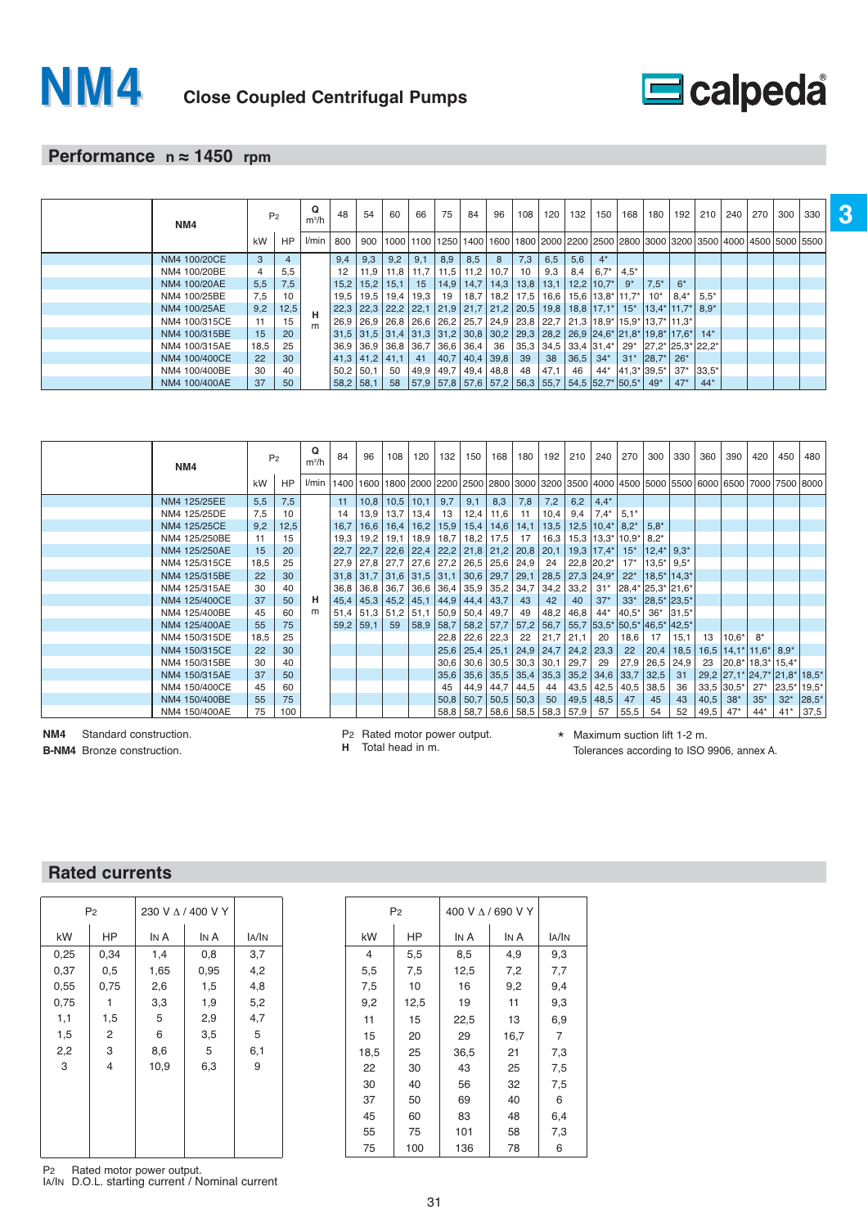

## **Performance n ≈ 1450 rpm**

| NM4           | P <sub>2</sub> |                | Q<br>$m^3/h$ | 48  | 54                                             | 60          | 66                        | 75  | 84                   | 96 | 108             | 120 | 132         | 150 <sub>1</sub>                                                                                  | 168   | 180                                                                                                                                                                             | 192     | 210         | 240 270 | 300 | 330 |  |
|---------------|----------------|----------------|--------------|-----|------------------------------------------------|-------------|---------------------------|-----|----------------------|----|-----------------|-----|-------------|---------------------------------------------------------------------------------------------------|-------|---------------------------------------------------------------------------------------------------------------------------------------------------------------------------------|---------|-------------|---------|-----|-----|--|
|               | kW             | HP             | l/min        | 800 | 900                                            |             |                           |     |                      |    |                 |     |             |                                                                                                   |       | 1000   1100   1250   1400   1600   1800   2000   2200   2500   2800   3000   3200   3500   4000   4500   5000   5500                                                            |         |             |         |     |     |  |
| NM4 100/20CE  | $\mathbf{3}$   | $\overline{4}$ |              | 9.4 | 9,3                                            | 9,2         | 9,1                       | 8,9 | 8,5                  | 8  | 7,3             | 6,5 | 5,6         | $4^*$                                                                                             |       |                                                                                                                                                                                 |         |             |         |     |     |  |
| NM4 100/20BE  | $\overline{4}$ | 5,5            |              | 12  |                                                | 11.9   11.8 | 11,7   11,5   11,2   10,7 |     |                      |    | 10 <sup>1</sup> | 9,3 | 8,4         | $6.7^*$ 4.5*                                                                                      |       |                                                                                                                                                                                 |         |             |         |     |     |  |
| NM4 100/20AE  | 5,5            | 7,5            |              |     | $15.2$   15.2   15.1   15   14.9   14.7   14.3 |             |                           |     |                      |    |                 |     |             | $13.8$   13.1   12.2   10.7*                                                                      | $9^*$ | $7.5^*$                                                                                                                                                                         | $6*$    |             |         |     |     |  |
| NM4 100/25BE  | 7,5            | 10             |              |     |                                                |             |                           |     |                      |    |                 |     |             | $19.5$   19.5   19.4   19.3   19   18.7   18.2   17.5   16.6   15.6   13.8   11.7   10 $^{\circ}$ |       |                                                                                                                                                                                 | $8.4^*$ | $5.5*$      |         |     |     |  |
| NM4 100/25AE  | 9,2            | 12,5           |              |     |                                                |             |                           |     |                      |    |                 |     |             |                                                                                                   |       | 22,3 22,3 22,2 22,1 21,9 21,7 21,2 20,5 19,8 18,8 17,1 <sup>*</sup> 15 <sup>*</sup> 13,4 <sup>*</sup> 11,7 <sup>*</sup>                                                         |         | 8.9*        |         |     |     |  |
| NM4 100/315CE | 11             | 15             |              |     |                                                |             |                           |     |                      |    |                 |     |             |                                                                                                   |       | 26,9   26,9   26,8   26,6   26,2   25,7   24,9   23,8   22,7   21,3   18,9 $\pm$ 15,9 $\pm$ 13,7 $\pm$ 11,3 $\pm$                                                               |         |             |         |     |     |  |
| NM4 100/315BE | 15             | 20             |              |     |                                                |             |                           |     |                      |    |                 |     |             |                                                                                                   |       | $31,5$   $31,5$   $31,4$   $31,3$   $31,2$   $30,8$   $30,2$   $29,3$   $28,2$   $26,9$   $24,6$ <sup>*</sup>   $21,8$ <sup>*</sup>   $19,8$ <sup>*</sup>   $17,6$ <sup>*</sup> |         | $14*$       |         |     |     |  |
| NM4 100/315AE | 18,5           | 25             |              |     | 36,9 36,9 36,8 36,7 36,6 36,4 36               |             |                           |     |                      |    |                 |     |             |                                                                                                   |       | $ 35,3 34,5 33,4 31,4^* 29^* 27,2^* 25,3^* 22,2^*$                                                                                                                              |         |             |         |     |     |  |
| NM4 100/400CE | 22             | 30             |              |     | $41,3$   41,2   41,1                           |             |                           |     | 41 40,7 40,4 39,8 39 |    |                 |     |             | $38 \mid 36,5 \mid 34^* \mid$                                                                     |       | $31*$ 28,7*                                                                                                                                                                     | $26*$   |             |         |     |     |  |
| NM4 100/400BE | 30             | 40             |              |     | $50,2$   50,1                                  | 50          | 49,9   49,7   49,4   48,8 |     |                      |    | 48              |     | $ 47,1 $ 46 |                                                                                                   |       | 44* 41,3* 39,5*                                                                                                                                                                 |         | $37*$ 33,5* |         |     |     |  |
| NM4 100/400AE | 37             | 50             |              |     | $58,2$ 58,1                                    |             |                           |     |                      |    |                 |     |             | 58 57,9 57,8 57,6 57,2 56,3 55,7 54,5 52,7 50,5 49                                                |       |                                                                                                                                                                                 | $47*$   | $44*$       |         |     |     |  |

|               |      | P <sub>2</sub> | Q       | 84   | 96            | 108                  | 120           | 132                                       | 150                               | 168  | 180         | 192                           | 210  | 240                                               | 270                                | 300                         | 330           | 360  | 390                                                                                                                                | 420   | 450               | 480   |
|---------------|------|----------------|---------|------|---------------|----------------------|---------------|-------------------------------------------|-----------------------------------|------|-------------|-------------------------------|------|---------------------------------------------------|------------------------------------|-----------------------------|---------------|------|------------------------------------------------------------------------------------------------------------------------------------|-------|-------------------|-------|
| NM4           |      |                | $m^3/h$ |      |               |                      |               |                                           |                                   |      |             |                               |      |                                                   |                                    |                             |               |      |                                                                                                                                    |       |                   |       |
|               | kW   | HP             | l/min   |      |               |                      |               |                                           |                                   |      |             |                               |      |                                                   |                                    |                             |               |      | 1400   1600   1600   2000   2200   2500   2800   3000   3200   3500   4000   4500   5000   5500   6000   6500   7000   7500   8000 |       |                   |       |
| NM4 125/25EE  | 5,5  | 7,5            |         | 11   |               | $10,8$   10,5   10,1 |               | 9,7                                       | 9,1                               | 8,3  | 7,8         | 7,2                           | 6,2  | $4,4*$                                            |                                    |                             |               |      |                                                                                                                                    |       |                   |       |
| NM4 125/25DE  | 7,5  | 10             |         | 14   | 13,9          | 13,7                 | 13,4          | 13                                        | 12,4                              | 11,6 | 11          | 10,4                          | 9,4  | $7,4*$                                            | $5.1*$                             |                             |               |      |                                                                                                                                    |       |                   |       |
| NM4 125/25CE  | 9,2  | 12,5           |         | 16,7 | 16,6          | $16,4$   16,2        |               | $15,9$   15,4                             |                                   | 14,6 | 14,1        | 13,5                          |      | $12,5$   $10,4$ <sup>*</sup>   $8,2$ <sup>*</sup> |                                    | $5.8*$                      |               |      |                                                                                                                                    |       |                   |       |
| NM4 125/250BE | 11   | 15             |         | 19,3 | 19,2          |                      | $19,1$   18,9 | 18,7                                      | 18,2                              | 17,5 | 17          | 16,3                          |      | $15,3$   $13,3$ *   $10,9$ *                      |                                    | $8.2*$                      |               |      |                                                                                                                                    |       |                   |       |
| NM4 125/250AE | 15   | 20             |         | 22,7 | 22,7          |                      |               | $22,6$   22,4   22,2   21,8   21,2   20,8 |                                   |      |             | 20,1                          |      | $19.3$   17,4*                                    | $15^*$                             | $ 12.4^* $ 9.3 <sup>*</sup> |               |      |                                                                                                                                    |       |                   |       |
| NM4 125/315CE | 18,5 | 25             |         | 27,9 | 27,8          |                      |               | 27,7 27,6 27,2 26,5                       |                                   | 25,6 | 24,9        | 24                            |      | 22,8 20,2*                                        | $17*$                              | $13.5^*$                    | $9.5*$        |      |                                                                                                                                    |       |                   |       |
| NM4 125/315BE | 22   | 30             |         | 31,8 | 31,7          |                      |               | $31,6$ 31,5 31,1 30,6 29,7 29,1           |                                   |      |             |                               |      | 28,5 27,3 24,9*                                   | $22*$                              | $ 18.5^* 14.3^*$            |               |      |                                                                                                                                    |       |                   |       |
| NM4 125/315AE | 30   | 40             |         |      | $36,8$   36,8 |                      |               | $36,7$   36,6   36,4   35,9   35,2   34,7 |                                   |      |             | 34,2                          | 33,2 | $31*$                                             | $ 28,4^* 25,3^* 21,6^*$            |                             |               |      |                                                                                                                                    |       |                   |       |
| NM4 125/400CE | 37   | 50             | н       | 45,4 | 45,3          | $45,2$ 45,1          |               |                                           | $44,9$   44,4                     | 43,7 | 43          | 42                            | 40   | $37*$                                             | $33*$                              | 28,5* 23,5*                 |               |      |                                                                                                                                    |       |                   |       |
| NM4 125/400BE | 45   | 60             |         | 51,4 | 51,3          | $51,2$ 51,1          |               | $50,9$ 50,4                               |                                   | 49,7 | 49          | 48,2                          | 46,8 | 44*                                               | $ 40.5*$                           | $36*$                       | $ 31.5*$      |      |                                                                                                                                    |       |                   |       |
| NM4 125/400AE | 55   | 75             |         | 59,2 | 59,1          | 59                   |               | 58.9   58.7   58.2   57.7   57.2          |                                   |      |             |                               |      |                                                   | 56.7 55.7 53.5 50.5 46.5 42.5      |                             |               |      |                                                                                                                                    |       |                   |       |
| NM4 150/315DE | 18,5 | 25             |         |      |               |                      |               | 22,8                                      | 22,6                              | 22,3 | 22          | $21,7$   21,1                 |      | -20                                               | 18,6                               | 17                          | 15,1          | 13   | $10.6*$                                                                                                                            | $8*$  |                   |       |
| NM4 150/315CE | 22   | 30             |         |      |               |                      |               |                                           |                                   |      |             | 25,6 25,4 25,1 24,9 24,7 24,2 |      | 23,3                                              | $22 \overline{ }$                  |                             | $20,4$   18,5 |      | $16,5$   14, 1*   11, 6*   8, 9*                                                                                                   |       |                   |       |
| NM4 150/315BE | 30   | 40             |         |      |               |                      |               | 30,6                                      | 30,6                              |      | $30,5$ 30,3 | 30,1                          | 29,7 | 29                                                | 27,9                               | $26,5$ 24,9                 |               | 23   | $ 20.8^* 18.3^* 15.4^*$                                                                                                            |       |                   |       |
| NM4 150/315AE | 37   | 50             |         |      |               |                      |               |                                           | $35,6$   $35,6$   $35,5$   $35,4$ |      |             |                               |      |                                                   | $35,3$   35,2   34,6   33,7   32,5 |                             | 31            |      | 29,2 27,1* 24,7* 21,8* 18,5*                                                                                                       |       |                   |       |
| NM4 150/400CE | 45   | 60             |         |      |               |                      |               | 45                                        | 44,9                              |      | $44,7$ 44,5 | 44                            | 43,5 |                                                   | $42,5$ 40,5                        | 38,5                        | 36            |      | $33,5$ 30,5*                                                                                                                       | $27*$ | $ 23.5^* 19.5^* $ |       |
| NM4 150/400BE | 55   | 75             |         |      |               |                      |               | $50,8$ 50,7                               |                                   |      | $50,5$ 50,3 | 50                            | 49,5 | 48,5                                              | 47                                 | 45                          | 43            | 40,5 | $38*$                                                                                                                              | $35*$ | $32*$             | 28,5* |
| NM4 150/400AE | 75   | 100            |         |      |               |                      |               | 58,8                                      | 58,7                              | 58,6 | 58,5        | 58,3                          | 57,9 | 57                                                | 55,5                               | 54                          | 52            | 49,5 | $47*$                                                                                                                              | $44*$ | $41*$             | 37,5  |

**NM4** Standard construction.

**B-NM4** Bronze construction.

P2 Rated motor power output. **H** Total head in m.

\* Maximum suction lift 1-2 m. Tolerances according to ISO 9906, annex A.

## **Rated currents**

|      | P <sub>2</sub> |      | 230 V A / 400 V Y |       |
|------|----------------|------|-------------------|-------|
| kW   | HP             | IN A | IN A              | IA/IN |
| 0,25 | 0,34           | 1,4  | 0,8               | 3,7   |
| 0,37 | 0,5            | 1,65 | 0,95              | 4,2   |
| 0,55 | 0,75           | 2,6  | 1,5               | 4,8   |
| 0,75 | 1              | 3,3  | 1,9               | 5,2   |
| 1,1  | 1,5            | 5    | 2,9               | 4,7   |
| 1,5  | $\overline{c}$ | 6    | 3,5               | 5     |
| 2,2  | 3              | 8,6  | 5                 | 6,1   |
| 3    | $\overline{4}$ | 10,9 | 6,3               | 9     |
|      |                |      |                   |       |
|      |                |      |                   |       |
|      |                |      |                   |       |
|      |                |      |                   |       |
|      |                |      |                   |       |

|      | P <sub>2</sub> |      | 400 V A / 690 V Y |              |
|------|----------------|------|-------------------|--------------|
| kW   | HP             | IN A | IN A              | <b>JA/IN</b> |
| 4    | 5,5            | 8,5  | 4,9               | 9,3          |
| 5,5  | 7,5            | 12,5 | 7,2               | 7,7          |
| 7,5  | 10             | 16   | 9,2               | 9,4          |
| 9,2  | 12,5           | 19   | 11                | 9,3          |
| 11   | 15             | 22,5 | 13                | 6,9          |
| 15   | 20             | 29   | 16,7              | 7            |
| 18,5 | 25             | 36,5 | 21                | 7,3          |
| 22   | 30             | 43   | 25                | 7,5          |
| 30   | 40             | 56   | 32                | 7,5          |
| 37   | 50             | 69   | 40                | 6            |
| 45   | 60             | 83   | 48                | 6,4          |
| 55   | 75             | 101  | 58                | 7,3          |
| 75   | 100            | 136  | 78                | 6            |

P2 Rated motor power output. IA/IN D.O.L. starting current / Nominal current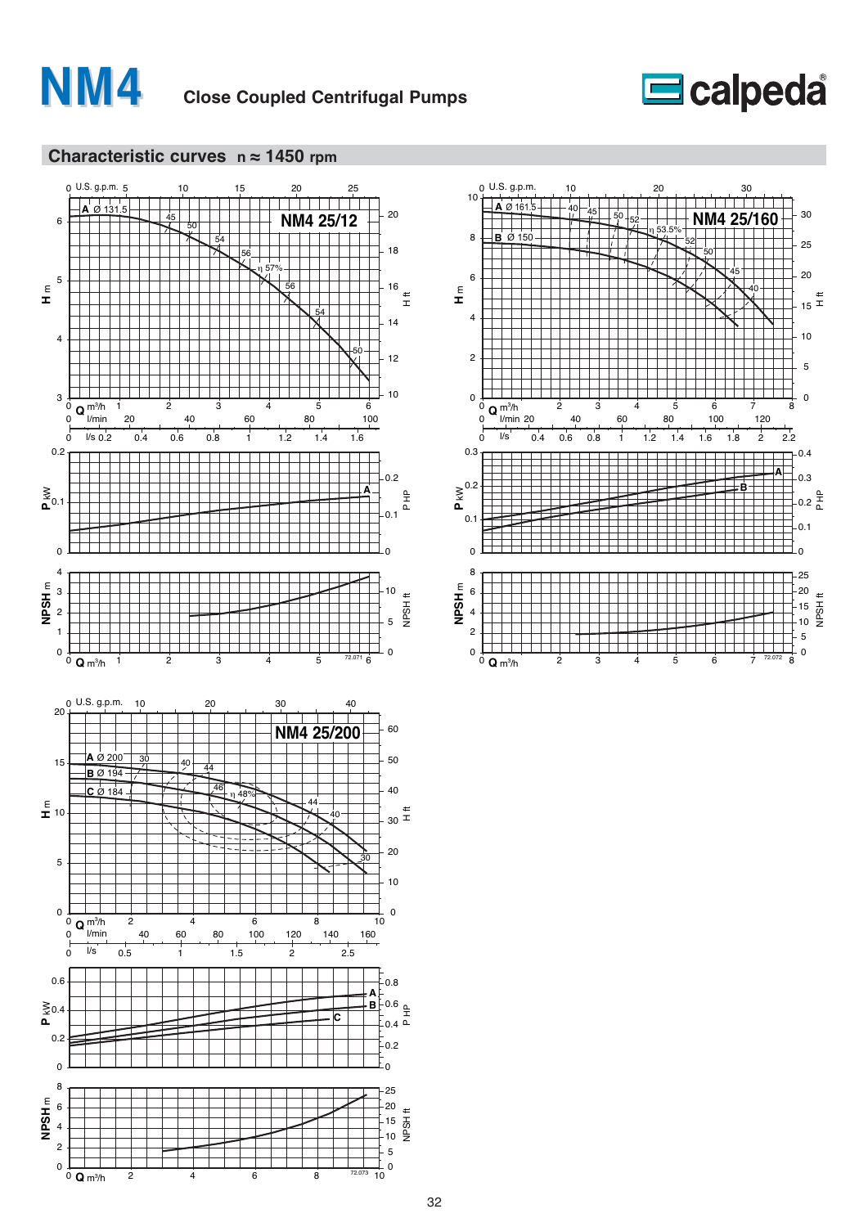





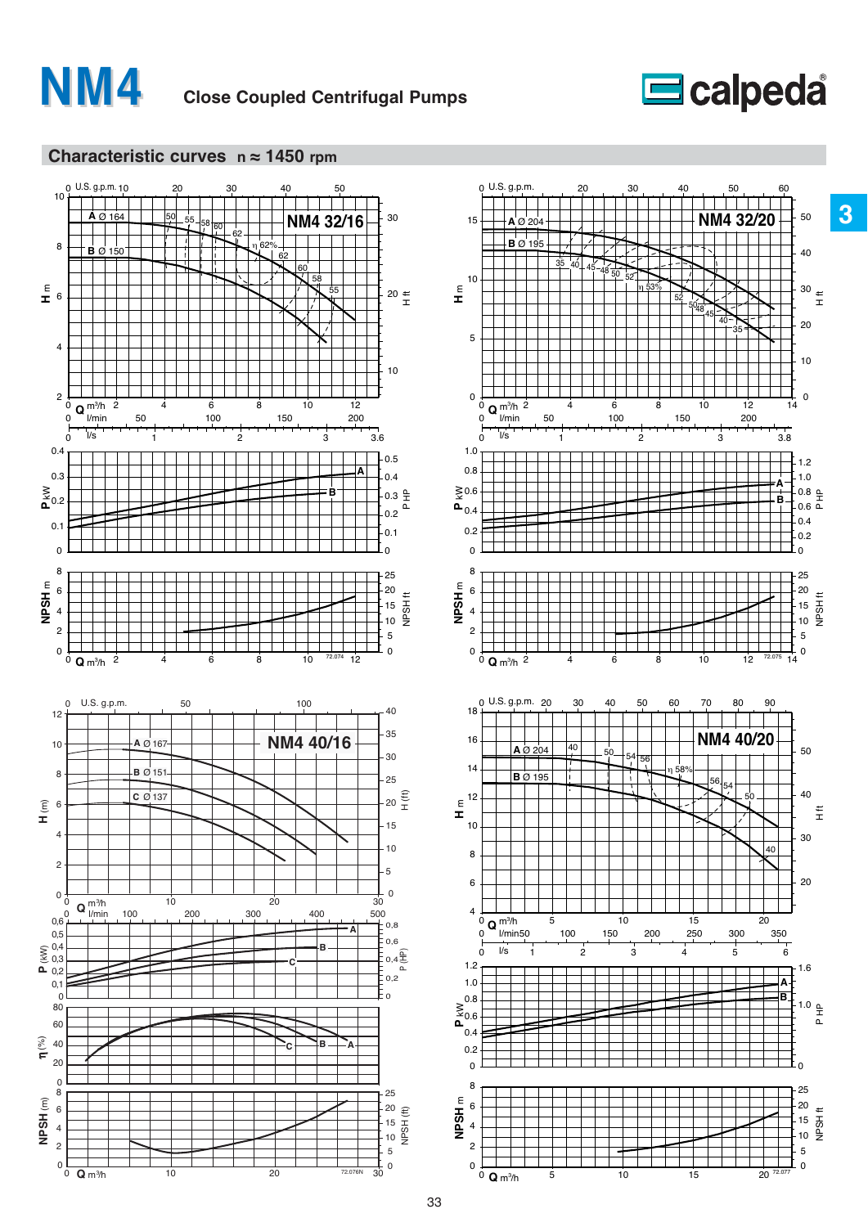

# **Second**<br> **Second**<br> **Second**<br> **Second**<br> **Second**<br> **Second**



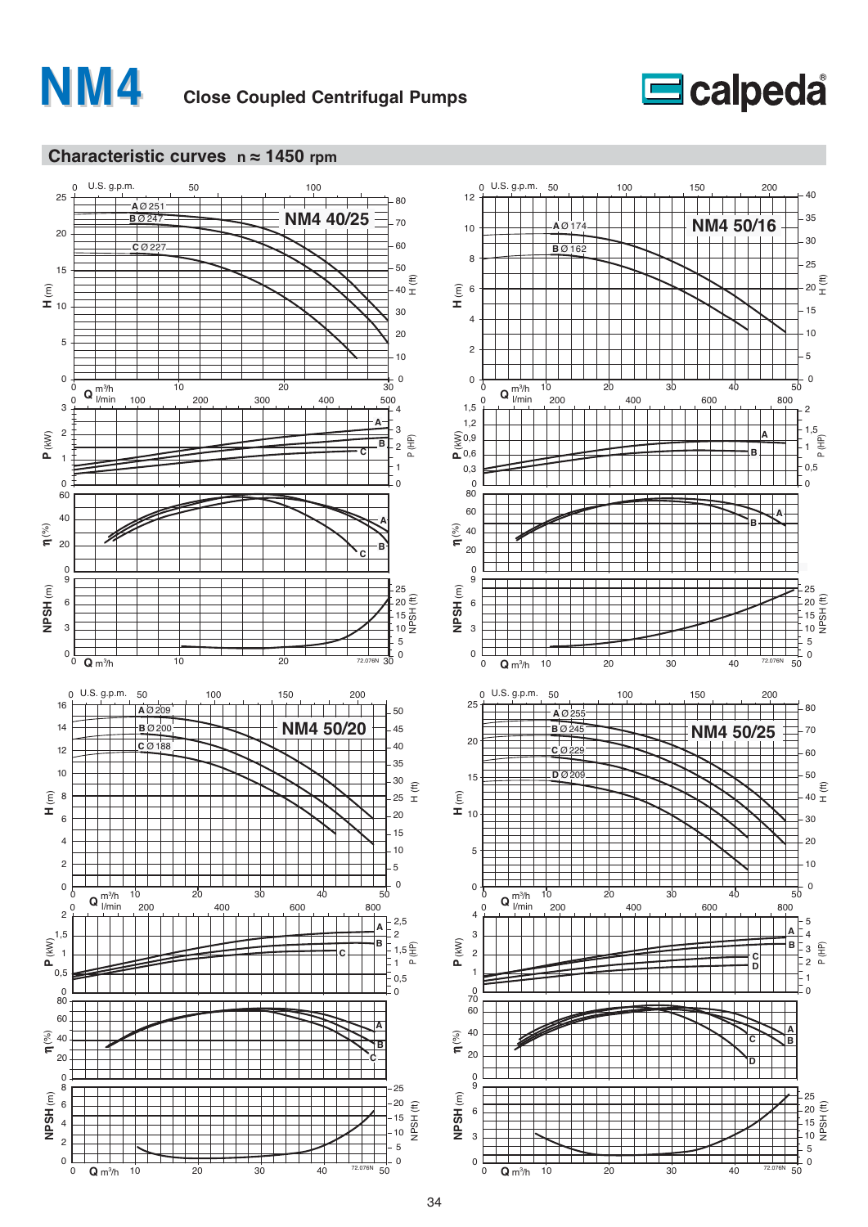





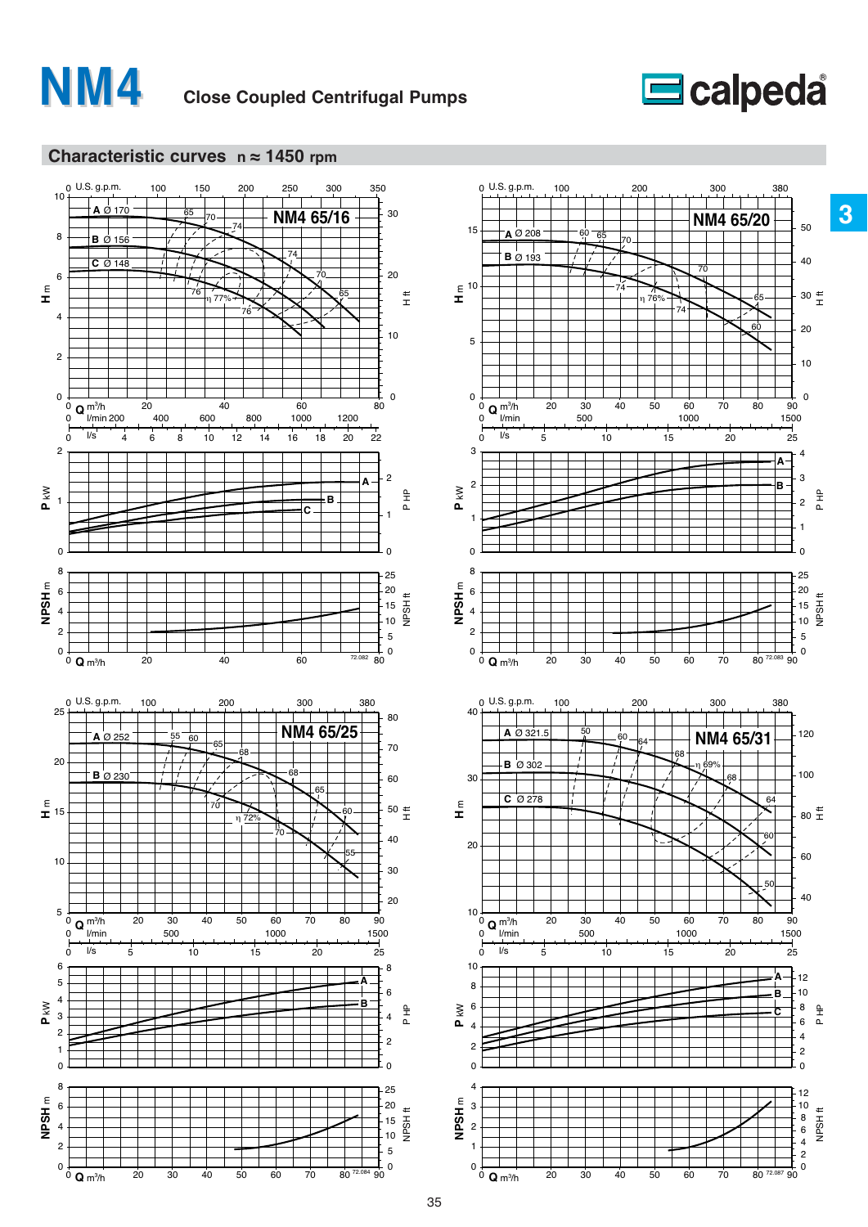





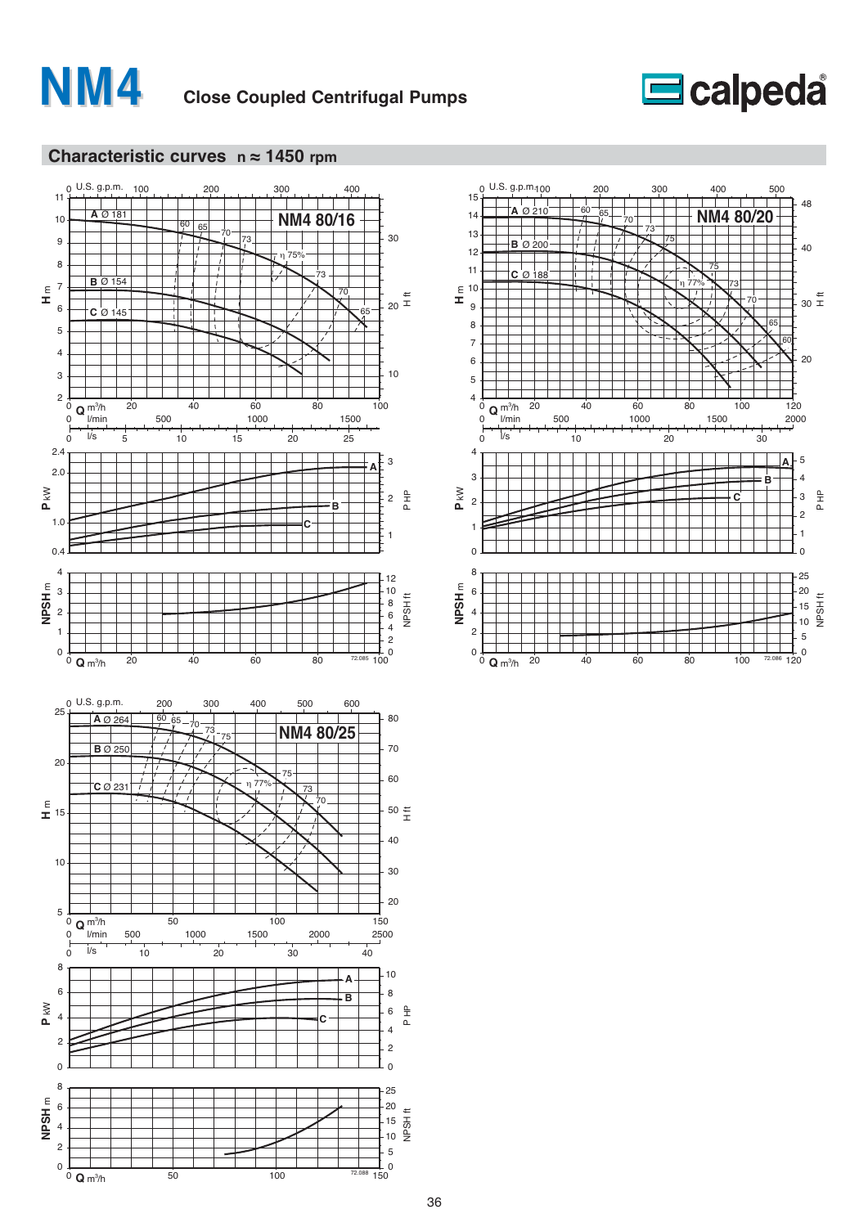





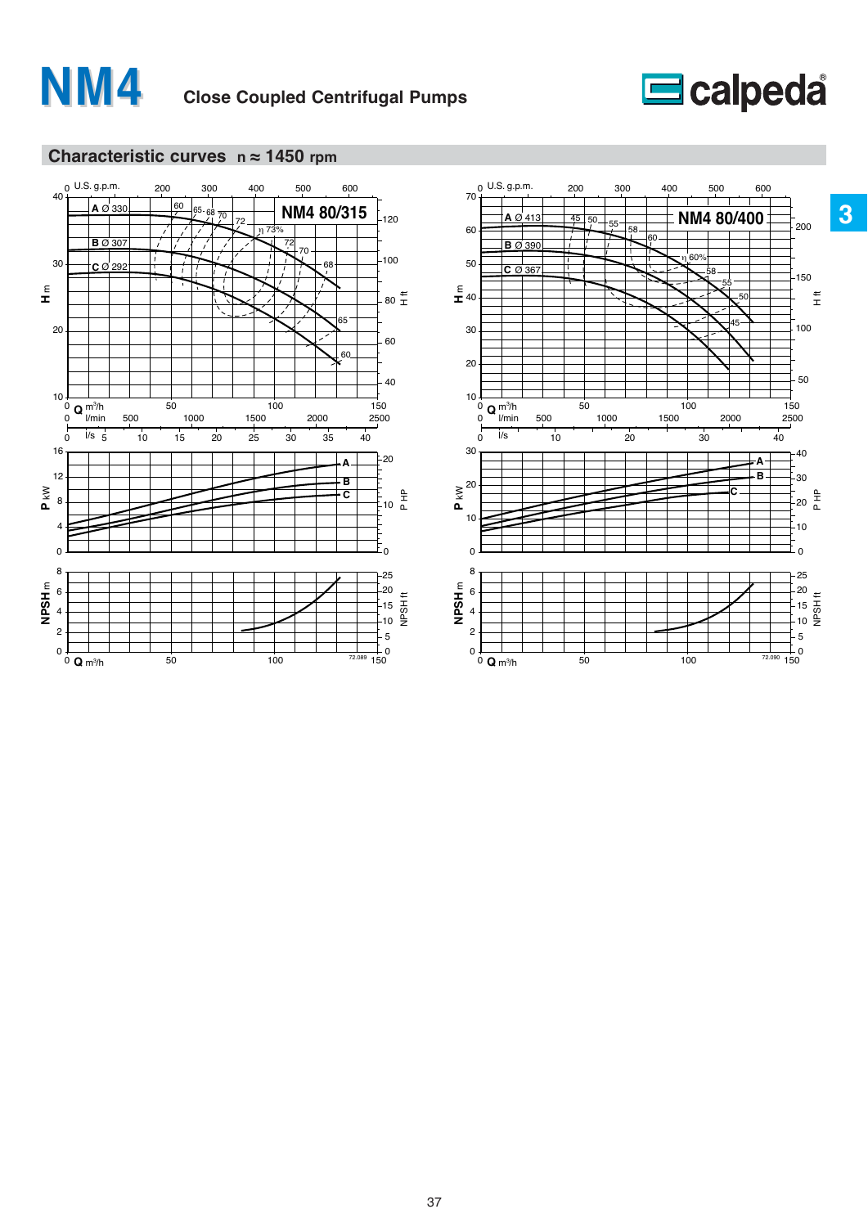

# **E**calpeda



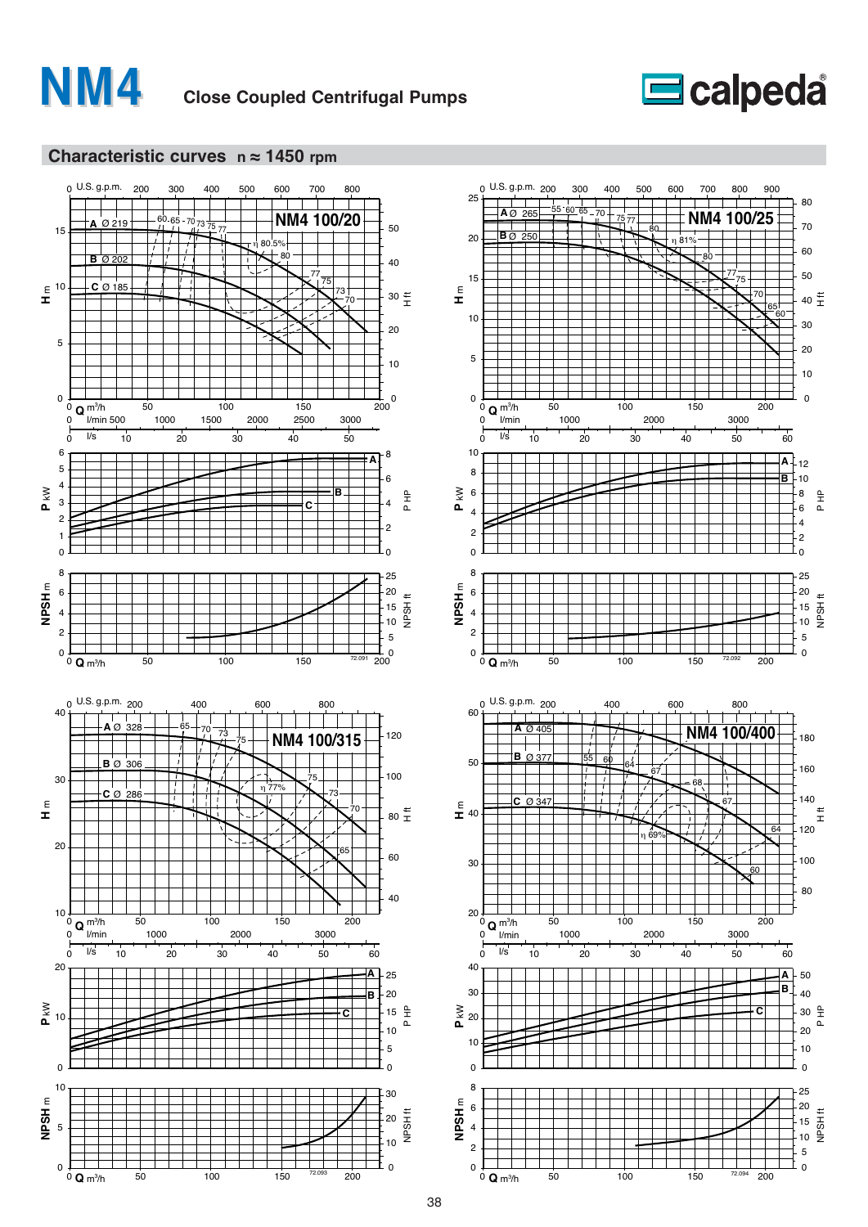





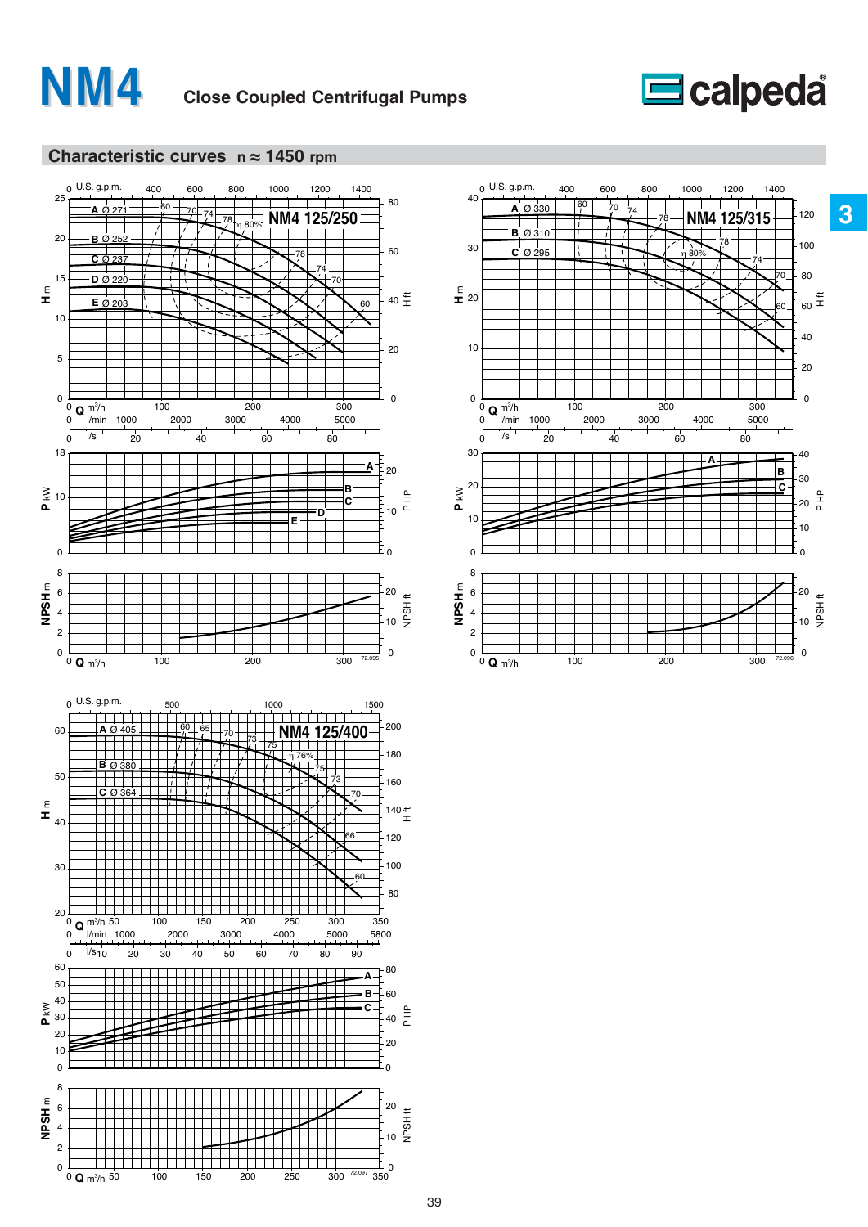





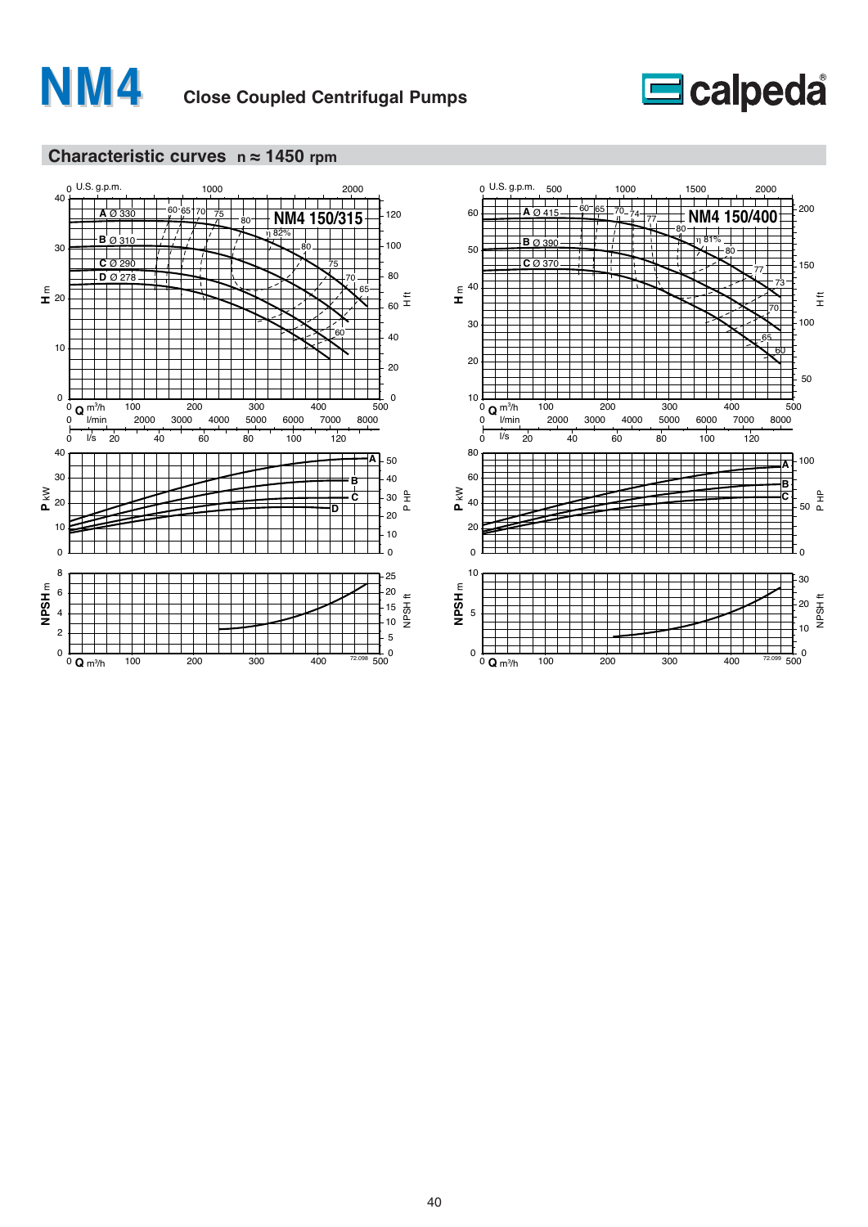





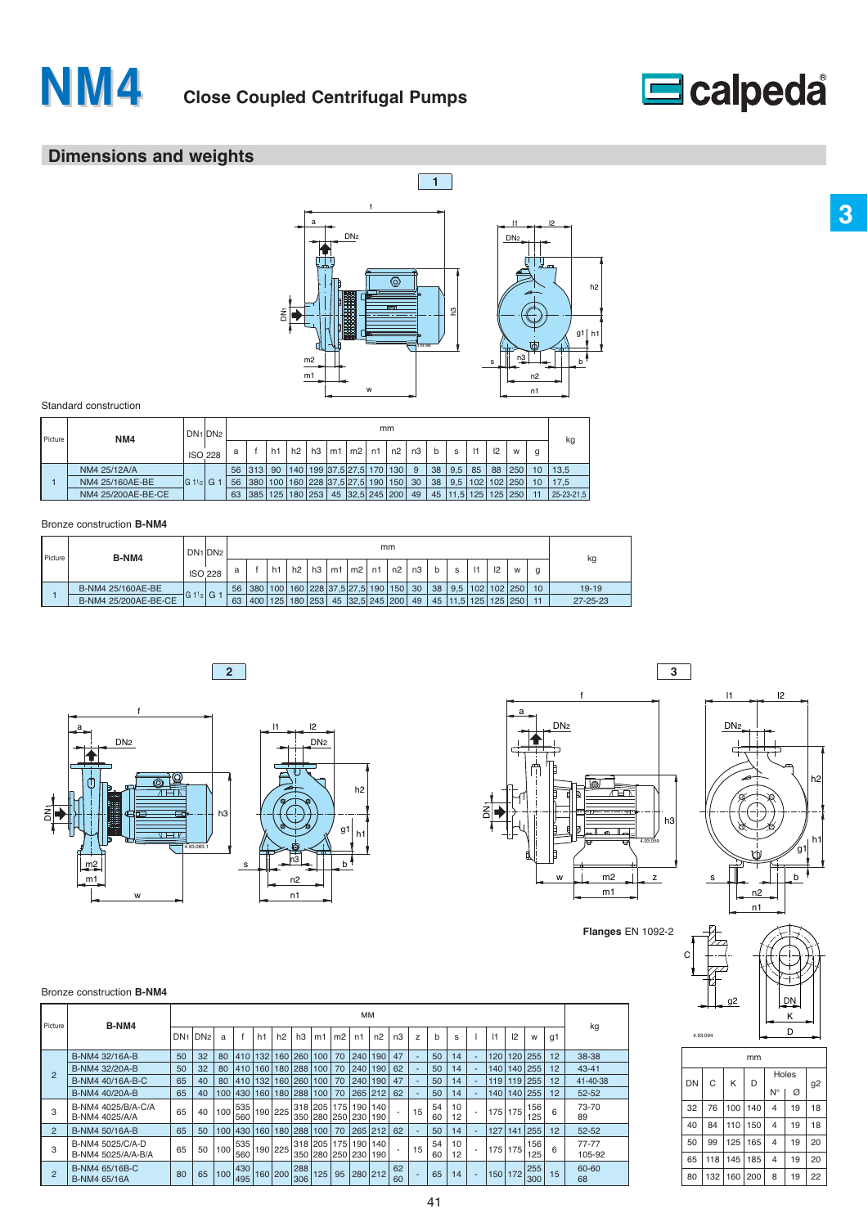



# **Dimensions and weights**



#### Standard construction

| Picture | NM4                |               | DN <sub>1</sub> DN <sub>2</sub> |                 |     |                |                       |    |                       |    | mm      |    |   |               |     |    |               |    |            |
|---------|--------------------|---------------|---------------------------------|-----------------|-----|----------------|-----------------------|----|-----------------------|----|---------|----|---|---------------|-----|----|---------------|----|------------|
|         |                    |               | <b>ISO 228</b>                  | a               |     | h <sub>1</sub> | h2                    | h3 | $m1 \mid m2$          | n1 | n2      | n3 | b | s             | 1   | 2  | W             |    | kg         |
|         | NM4 25/12A/A       |               |                                 | 56 <sup>1</sup> | 313 | 90             | 140                   |    | 199 37,5 27,5 170 130 |    |         | 9  |   | 38   9.5      | 85  | 88 | $ 250\rangle$ | 10 | 13,5       |
|         | NM4 25/160AE-BE    | $ G 11_{p} G$ |                                 | 56              | 380 |                |                       |    | 100 160 228 37.5 27.5 |    | 190 150 | 30 |   | $38 \mid 9.5$ |     |    | 102 102 250   | 10 | 17.5       |
|         | NM4 25/200AE-BE-CE |               |                                 | 63              |     |                | 385   125   180   253 |    | 45 32,5 245 200       |    |         | 49 |   | 45   11.5     | 125 |    | 125 250       |    | 25-23-21.5 |

#### Bronze construction **B-NM4**

| B-NM4<br>Picture |                      |           | DN <sub>1</sub> DN <sub>2</sub> | mm |     |                                     |    |    |    |                 |    |           |    |    |            |     |         | kg |                 |                |
|------------------|----------------------|-----------|---------------------------------|----|-----|-------------------------------------|----|----|----|-----------------|----|-----------|----|----|------------|-----|---------|----|-----------------|----------------|
|                  |                      |           | <b>ISO 228</b>                  | a  |     | h1                                  | h2 | h3 | m1 | m2              | n1 | n2        | n3 | b  | s          |     | 2       | W  | g               |                |
|                  | B-NM4 25/160AE-BE    |           |                                 | 56 |     | 380   100   160   228   37.5   27.5 |    |    |    |                 |    | 190 150 1 | 30 | 38 | 9.5        | 102 | 102 250 |    | 10 <sup>1</sup> | $19 - 19$      |
|                  | B-NM4 25/200AE-BE-CE | 1G 1½ G 1 |                                 | 63 | 400 | 125 180 253                         |    |    |    | 45 32,5 245 200 |    |           | 49 | 45 | $11,5$ 125 |     | 125 250 |    | 11              | $27 - 25 - 23$ |



**2**



**Flanges** EN 1092-2

C



## DN D g2 K 4.93.094

|    | mm  |     |     |                |    |                |  |  |  |  |  |  |  |  |
|----|-----|-----|-----|----------------|----|----------------|--|--|--|--|--|--|--|--|
| DN | C   | Κ   | D   | Holes          |    |                |  |  |  |  |  |  |  |  |
|    |     |     |     | N°             | Ø  | g <sub>2</sub> |  |  |  |  |  |  |  |  |
| 32 | 76  | 100 | 140 | $\overline{4}$ | 19 | 18             |  |  |  |  |  |  |  |  |
| 40 | 84  | 110 | 150 | $\overline{4}$ | 19 | 18             |  |  |  |  |  |  |  |  |
| 50 | 99  | 125 | 165 | $\overline{4}$ | 19 | 20             |  |  |  |  |  |  |  |  |
| 65 | 118 | 145 | 185 | $\overline{4}$ | 19 | 20             |  |  |  |  |  |  |  |  |
| 80 | 132 | 160 | 200 | 8              | 19 | 22             |  |  |  |  |  |  |  |  |

#### Bronze construction **B-NM4**

| Picture        | B-NM4                                  |                 |                 |                  |             |                |                       |                     |             |                | MМ          |                                         |          |    |          |          |           |         |            |    |                     |
|----------------|----------------------------------------|-----------------|-----------------|------------------|-------------|----------------|-----------------------|---------------------|-------------|----------------|-------------|-----------------------------------------|----------|----|----------|----------|-----------|---------|------------|----|---------------------|
|                |                                        | DN <sub>1</sub> | DN <sub>2</sub> | a                |             | h <sub>1</sub> | h2                    | h3                  | m1          | m <sub>2</sub> | n1          | n2                                      | n3       | z  | b        | s        | $\vert$ 1 | 2       | W          | q1 | kg                  |
|                | B-NM4 32/16A-B                         | 50              | 32              | 80               |             |                |                       | 410 132 160 260     | 100         | 70             | 240         | 190                                     | 47       |    | 50       | 14       | 120       |         | 120 255    | 12 | 38-38               |
|                | B-NM4 32/20A-B                         | 50              | 32              | 80               |             |                |                       | 410 160 180 288     | 100         | 70             | 240         | 190                                     | 62       |    | 50       | 14       | 140       |         | 140 255    | 12 | $43 - 41$           |
| $\overline{2}$ | B-NM4 40/16A-B-C                       | 65              | 40              | 80               |             |                | 410   132   160   260 |                     | 100         | 70             | 240         | 190 <sup>1</sup>                        | 47       |    | 50       | 14       | 119       | 119 255 |            | 12 | 41-40-38            |
|                | B-NM4 40/20A-B                         | 65              | 40              |                  |             |                |                       | 100 430 160 180 288 | 100         | 70             |             | 265 212                                 | 62       |    | 50       | 14       | 140       | 140 255 |            | 12 | $52 - 52$           |
| 3              | B-NM4 4025/B/A-C/A<br>B-NM4 4025/A/A   | 65              | 40              | 100              | 535<br>560  |                | 190 225               | 350                 |             | 280 250 230    |             | 318 205 175 190 140<br>190 <sub>1</sub> |          | 15 | 54<br>60 | 10<br>12 | 175       | 175     | 156<br>125 | 6  | 73-70<br>89         |
| $\overline{2}$ | B-NM4 50/16A-B                         | 65              | 50              | 100              | 430 160 180 |                |                       | 288                 | 100         | 70             |             | 265 212                                 | 62       |    | 50       | 14       | 127       | 141 255 |            | 12 | $52 - 52$           |
| 3              | B-NM4 5025/C/A-D<br>B-NM4 5025/A/A-B/A | 65              | 50              | 100              | 535<br>560  |                | 190 225               | 350                 | 318 205 175 |                | 280 250 230 | 190 140<br>190                          |          | 15 | 54<br>60 | 10<br>12 | 175       | 175     | 156<br>125 | 6  | $77 - 77$<br>105-92 |
| $\overline{2}$ | B-NM4 65/16B-C<br>B-NM4 65/16A         | 80              | 65              | 100 <sub>1</sub> | 430<br>495  |                | 160 200               | 288<br>306          | 125         | 95             |             | 280 212                                 | 62<br>60 |    | 65       | 14       | 150       | 172     | 255<br>300 | 15 | 60-60<br>68         |